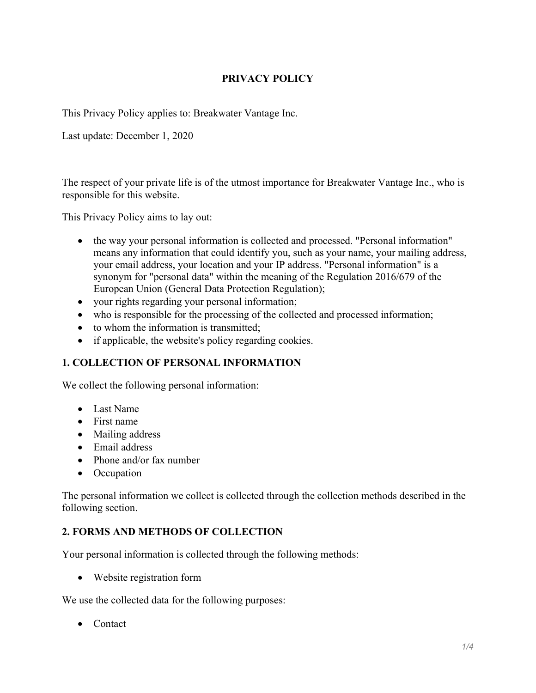## PRIVACY POLICY

This Privacy Policy applies to: Breakwater Vantage Inc.

Last update: December 1, 2020

The respect of your private life is of the utmost importance for Breakwater Vantage Inc., who is responsible for this website.

This Privacy Policy aims to lay out:

- the way your personal information is collected and processed. "Personal information" means any information that could identify you, such as your name, your mailing address, your email address, your location and your IP address. "Personal information" is a synonym for "personal data" within the meaning of the Regulation 2016/679 of the European Union (General Data Protection Regulation);
- your rights regarding your personal information;
- who is responsible for the processing of the collected and processed information;
- to whom the information is transmitted;
- if applicable, the website's policy regarding cookies.

### 1. COLLECTION OF PERSONAL INFORMATION

We collect the following personal information:

- Last Name
- First name
- Mailing address
- Email address
- Phone and/or fax number
- Occupation

The personal information we collect is collected through the collection methods described in the following section.

### 2. FORMS AND METHODS OF COLLECTION

Your personal information is collected through the following methods:

Website registration form

We use the collected data for the following purposes:

• Contact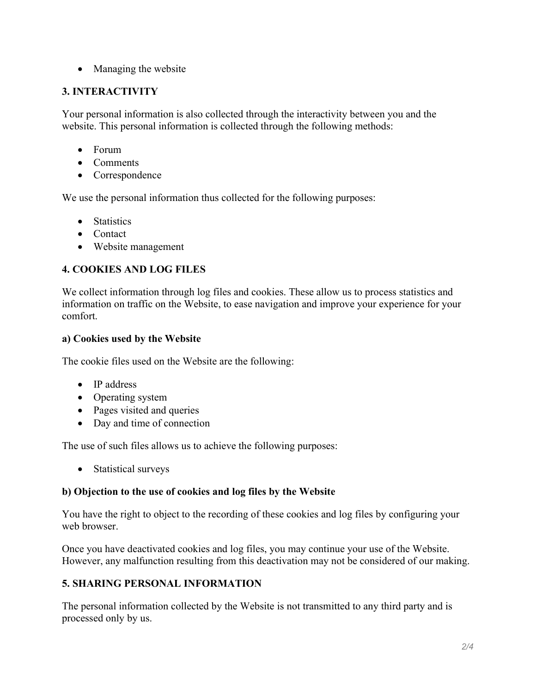• Managing the website

## 3. INTERACTIVITY

Your personal information is also collected through the interactivity between you and the website. This personal information is collected through the following methods:

- Forum
- Comments
- Correspondence

We use the personal information thus collected for the following purposes:

- Statistics
- Contact
- Website management

# 4. COOKIES AND LOG FILES

We collect information through log files and cookies. These allow us to process statistics and information on traffic on the Website, to ease navigation and improve your experience for your comfort.

## a) Cookies used by the Website

The cookie files used on the Website are the following:

- IP address
- Operating system
- Pages visited and queries
- Day and time of connection

The use of such files allows us to achieve the following purposes:

• Statistical surveys

## b) Objection to the use of cookies and log files by the Website

You have the right to object to the recording of these cookies and log files by configuring your web browser.

Once you have deactivated cookies and log files, you may continue your use of the Website. However, any malfunction resulting from this deactivation may not be considered of our making.

## 5. SHARING PERSONAL INFORMATION

The personal information collected by the Website is not transmitted to any third party and is processed only by us.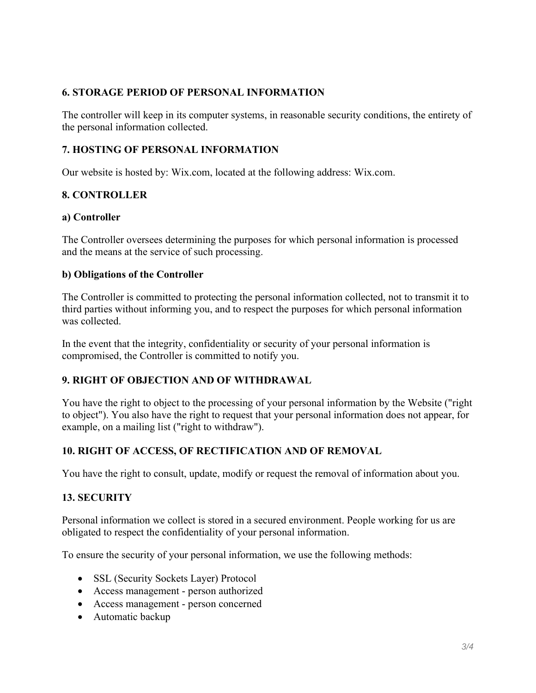### 6. STORAGE PERIOD OF PERSONAL INFORMATION

The controller will keep in its computer systems, in reasonable security conditions, the entirety of the personal information collected.

## 7. HOSTING OF PERSONAL INFORMATION

Our website is hosted by: Wix.com, located at the following address: Wix.com.

## 8. CONTROLLER

### a) Controller

The Controller oversees determining the purposes for which personal information is processed and the means at the service of such processing.

### b) Obligations of the Controller

The Controller is committed to protecting the personal information collected, not to transmit it to third parties without informing you, and to respect the purposes for which personal information was collected.

In the event that the integrity, confidentiality or security of your personal information is compromised, the Controller is committed to notify you.

### 9. RIGHT OF OBJECTION AND OF WITHDRAWAL

You have the right to object to the processing of your personal information by the Website ("right to object"). You also have the right to request that your personal information does not appear, for example, on a mailing list ("right to withdraw").

## 10. RIGHT OF ACCESS, OF RECTIFICATION AND OF REMOVAL

You have the right to consult, update, modify or request the removal of information about you.

### 13. SECURITY

Personal information we collect is stored in a secured environment. People working for us are obligated to respect the confidentiality of your personal information.

To ensure the security of your personal information, we use the following methods:

- SSL (Security Sockets Layer) Protocol
- Access management person authorized
- Access management person concerned
- Automatic backup